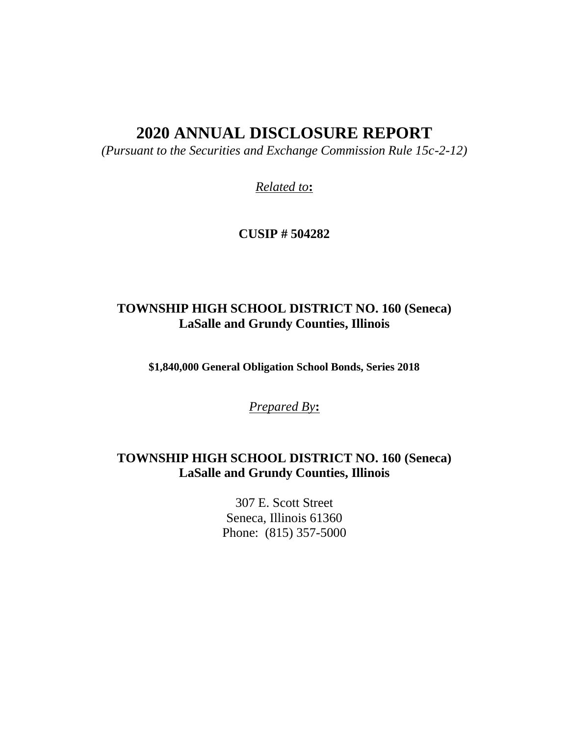# **2020 ANNUAL DISCLOSURE REPORT**

*(Pursuant to the Securities and Exchange Commission Rule 15c-2-12)*

*Related to***:**

**CUSIP # 504282**

# **TOWNSHIP HIGH SCHOOL DISTRICT NO. 160 (Seneca) LaSalle and Grundy Counties, Illinois**

**\$1,840,000 General Obligation School Bonds, Series 2018**

*Prepared By***:**

# **TOWNSHIP HIGH SCHOOL DISTRICT NO. 160 (Seneca) LaSalle and Grundy Counties, Illinois**

307 E. Scott Street Seneca, Illinois 61360 Phone: (815) 357-5000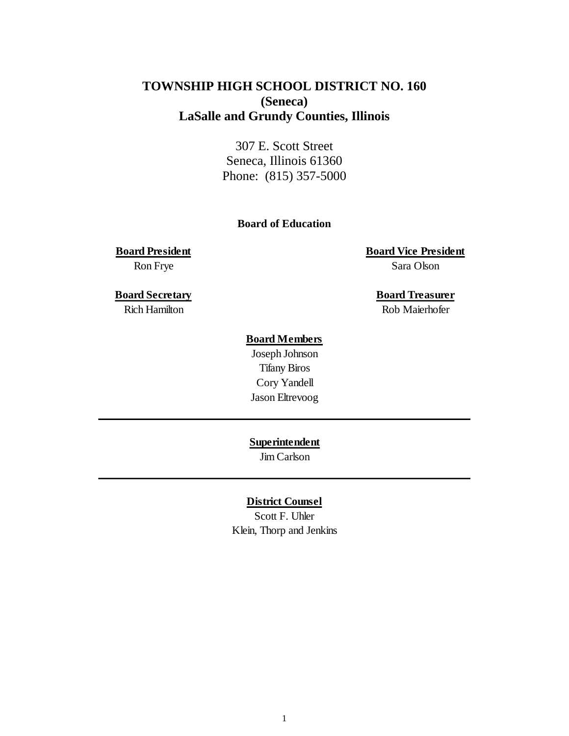# **TOWNSHIP HIGH SCHOOL DISTRICT NO. 160 (Seneca) LaSalle and Grundy Counties, Illinois**

307 E. Scott Street Seneca, Illinois 61360 Phone: (815) 357-5000

## **Board of Education**

**Board President Board Vice President** Ron Frye Sara Olson

**Board Secretary Board Treasurer** Rich Hamilton Rob Maierhofer

# **Board Members**

Joseph Johnson Tifany Biros Cory Yandell Jason Eltrevoog

**Superintendent**

Jim Carlson

## **District Counsel**

Scott F. Uhler Klein, Thorp and Jenkins

1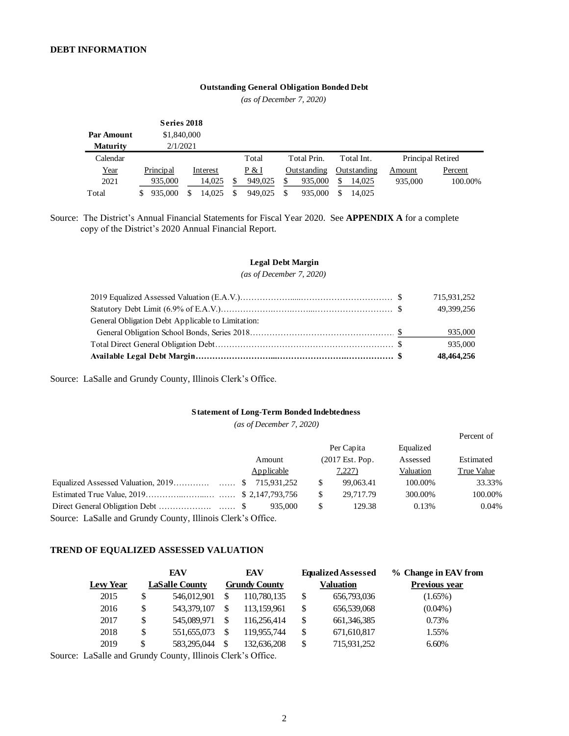#### **Outstanding General Obligation Bonded Debt**

*(as of December 7, 2020)*

|                   | Series 2018   |          |               |               |             |                   |         |
|-------------------|---------------|----------|---------------|---------------|-------------|-------------------|---------|
| <b>Par Amount</b> | \$1,840,000   |          |               |               |             |                   |         |
| <b>Maturity</b>   | 2/1/2021      |          |               |               |             |                   |         |
| Calendar          |               |          | Total         | Total Prin.   | Total Int.  | Principal Retired |         |
| Year              | Principal     | Interest | P & I         | Outstanding   | Outstanding | Amount            | Percent |
| 2021              | 935,000       | 14.025   | \$<br>949,025 | 935,000<br>\$ | 14.025      | 935,000           | 100.00% |
| Total             | 935,000<br>S. | 14,025   | \$<br>949.025 | \$<br>935,000 | 14.025      |                   |         |

Source: The District's Annual Financial Statements for Fiscal Year 2020. See **APPENDIX A** for a complete copy of the District's 2020 Annual Financial Report.

#### **Legal Debt Margin**

*(as of December 7, 2020)*

|                                                   | 715,931,252 |
|---------------------------------------------------|-------------|
|                                                   | 49.399.256  |
| General Obligation Debt Applicable to Limitation: |             |
|                                                   | 935,000     |
|                                                   | 935,000     |
|                                                   | 48,464,256  |

Source: LaSalle and Grundy County, Illinois Clerk's Office.

#### **Statement of Long-Term Bonded Indebtedness**

*(as of December 7, 2020)*

|                                                             |            |                 |           | Percent of |
|-------------------------------------------------------------|------------|-----------------|-----------|------------|
|                                                             |            | Per Capita      | Equalized |            |
|                                                             | Amount     | (2017 Est. Pop. | Assessed  | Estimated  |
|                                                             | Applicable | 7,227)          | Valuation | True Value |
|                                                             |            | \$<br>99,063.41 | 100.00%   | 33.33%     |
|                                                             |            | \$<br>29,717.79 | 300.00%   | 100.00%    |
|                                                             | 935,000    | \$<br>129.38    | 0.13%     | 0.04%      |
| Source: LaSalle and Grundy County, Illinois Clerk's Office. |            |                 |           |            |

**TREND OF EQUALIZED ASSESSED VALUATION**

|                 |    | EAV                   |     | EAV                  | <b>Equalized Assessed</b> | % Change in EAV from |
|-----------------|----|-----------------------|-----|----------------------|---------------------------|----------------------|
| <b>Lew Year</b> |    | <b>LaSalle County</b> |     | <b>Grundy County</b> | <b>Valuation</b>          | <b>Previous vear</b> |
| 2015            | S  | 546,012,901           | \$. | 110,780,135          | \$<br>656,793,036         | $(1.65\%)$           |
| 2016            | \$ | 543,379,107           |     | 113.159.961          | \$<br>656,539,068         | $(0.04\%)$           |
| 2017            | \$ | 545,089,971           | \$  | 116.256.414          | \$<br>661, 346, 385       | 0.73%                |
| 2018            | \$ | 551,655,073           | \$. | 119.955.744          | \$<br>671,610,817         | 1.55%                |
| 2019            | S  | 583,295,044           |     | 132,636,208          | \$<br>715,931,252         | 6.60%                |

Source: LaSalle and Grundy County, Illinois Clerk's Office.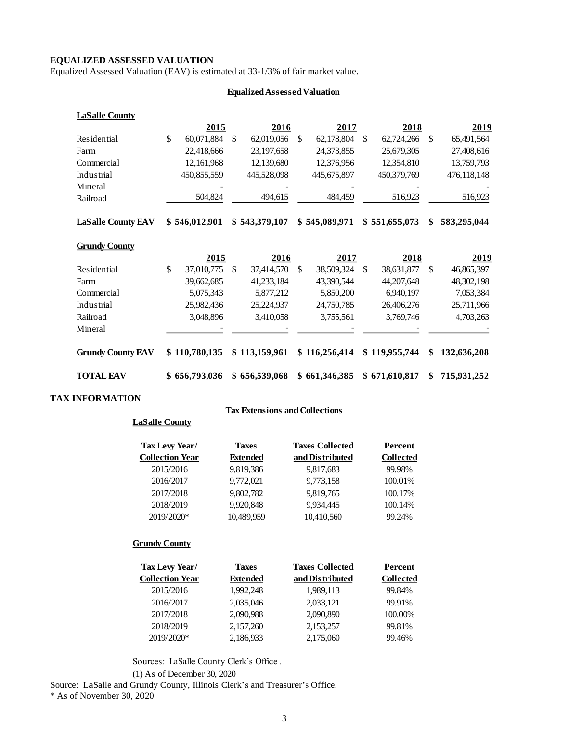### **EQUALIZED ASSESSED VALUATION**

Equalized Assessed Valuation (EAV) is estimated at 33-1/3% of fair market value.

### **Equalized Assessed Valuation**

| <b>LaSalle County</b>     |                  |     |               |     |               |                  |     |              |
|---------------------------|------------------|-----|---------------|-----|---------------|------------------|-----|--------------|
|                           | 2015             |     | 2016          |     | 2017          | 2018             |     | 2019         |
| Residential               | \$<br>60,071,884 | \$. | 62,019,056    | \$. | 62,178,804    | \$<br>62,724,266 | \$. | 65,491,564   |
| Farm                      | 22,418,666       |     | 23,197,658    |     | 24,373,855    | 25,679,305       |     | 27,408,616   |
| Commercial                | 12, 161, 968     |     | 12,139,680    |     | 12,376,956    | 12,354,810       |     | 13,759,793   |
| Industrial                | 450,855,559      |     | 445,528,098   |     | 445,675,897   | 450,379,769      |     | 476,118,148  |
| Mineral                   |                  |     |               |     |               |                  |     |              |
| Railroad                  | 504,824          |     | 494,615       |     | 484,459       | 516,923          |     | 516,923      |
|                           |                  |     |               |     |               |                  |     |              |
| <b>LaSalle County EAV</b> | \$546,012,901    |     | \$543,379,107 |     | \$545,089,971 | \$551,655,073    | \$  | 583,295,044  |
|                           |                  |     |               |     |               |                  |     |              |
| <b>Grundy County</b>      |                  |     |               |     |               |                  |     |              |
|                           | <u>2015</u>      |     | <u>2016</u>   |     | 2017          | <u>2018</u>      |     | 2019         |
| Residential               | \$<br>37,010,775 | \$  | 37,414,570    | \$  | 38,509,324    | \$<br>38,631,877 | \$  | 46,865,397   |
| Farm                      | 39,662,685       |     | 41,233,184    |     | 43,390,544    | 44, 207, 648     |     | 48, 302, 198 |
| Commercial                | 5,075,343        |     | 5,877,212     |     | 5,850,200     | 6,940,197        |     | 7,053,384    |
| Industrial                | 25,982,436       |     | 25,224,937    |     | 24,750,785    | 26,406,276       |     | 25,711,966   |
| Railroad                  | 3,048,896        |     | 3,410,058     |     | 3,755,561     | 3,769,746        |     | 4,703,263    |
| Mineral                   |                  |     |               |     |               |                  |     |              |
|                           |                  |     |               |     |               |                  |     |              |
| <b>Grundy County EAV</b>  | \$110,780,135    |     | \$113,159,961 |     | \$116,256,414 | \$119,955,744    | \$  | 132,636,208  |
|                           |                  |     |               |     |               |                  |     |              |
| <b>TOTAL EAV</b>          |                  |     |               |     |               |                  |     |              |
|                           | \$656,793,036    |     | \$656,539,068 |     | \$661,346,385 | \$671,610,817    | \$  | 715,931,252  |

## **TAX INFORMATION**

#### **Tax Extensions and Collections**

# **LaSalle County**

| Tax Levy Year/         | <b>Taxes</b> | <b>Taxes Collected</b> | Percent          |
|------------------------|--------------|------------------------|------------------|
| <b>Collection Year</b> | Extended     | and Distributed        | <b>Collected</b> |
| 2015/2016              | 9,819,386    | 9,817,683              | 99.98%           |
| 2016/2017              | 9,772,021    | 9,773,158              | 100.01%          |
| 2017/2018              | 9,802,782    | 9,819,765              | 100.17%          |
| 2018/2019              | 9,920,848    | 9,934,445              | 100.14%          |
| 2019/2020*             | 10,489,959   | 10,410,560             | 99.24%           |
|                        |              |                        |                  |

### **Grundy County**

| Tax Levy Year/         | <b>Taxes</b>    | <b>Taxes Collected</b> | Percent          |
|------------------------|-----------------|------------------------|------------------|
| <b>Collection Year</b> | <b>Extended</b> | and Distributed        | <b>Collected</b> |
| 2015/2016              | 1.992.248       | 1,989,113              | 99.84%           |
| 2016/2017              | 2,035,046       | 2,033,121              | 99.91%           |
| 2017/2018              | 2,090,988       | 2,090,890              | 100.00%          |
| 2018/2019              | 2,157,260       | 2,153,257              | 99.81%           |
| 2019/2020*             | 2,186,933       | 2,175,060              | 99.46%           |
|                        |                 |                        |                  |

Sources: LaSalle County Clerk's Office .

(1) As of December 30, 2020

Source: LaSalle and Grundy County, Illinois Clerk's and Treasurer's Office.

\* As of November 30, 2020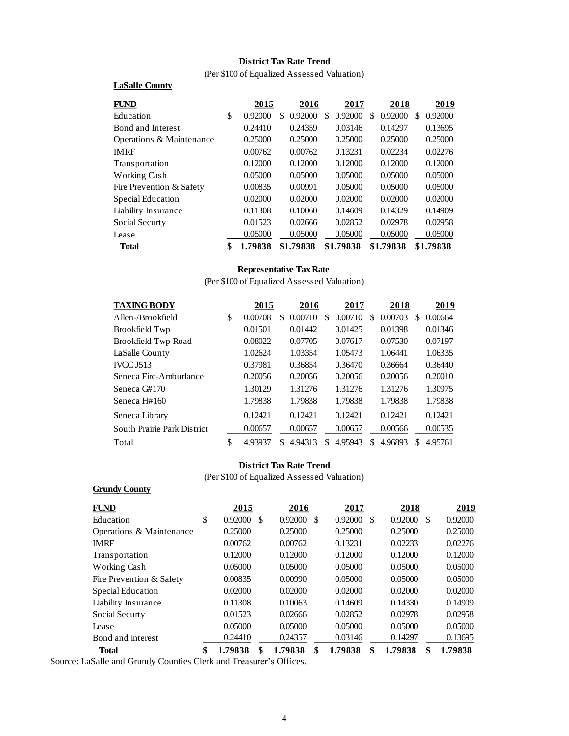## **District Tax Rate Trend**

(Per \$100 of Equalized Assessed Valuation)

| <b>FUND</b>              | 2015          |    | 2016      |    | 2017      |    | 2018      |    | 2019      |
|--------------------------|---------------|----|-----------|----|-----------|----|-----------|----|-----------|
| Education                | \$<br>0.92000 | S. | 0.92000   | S. | 0.92000   | S. | 0.92000   | S. | 0.92000   |
| Bond and Interest        | 0.24410       |    | 0.24359   |    | 0.03146   |    | 0.14297   |    | 0.13695   |
| Operations & Maintenance | 0.25000       |    | 0.25000   |    | 0.25000   |    | 0.25000   |    | 0.25000   |
| <b>IMRF</b>              | 0.00762       |    | 0.00762   |    | 0.13231   |    | 0.02234   |    | 0.02276   |
| Transportation           | 0.12000       |    | 0.12000   |    | 0.12000   |    | 0.12000   |    | 0.12000   |
| Working Cash             | 0.05000       |    | 0.05000   |    | 0.05000   |    | 0.05000   |    | 0.05000   |
| Fire Prevention & Safety | 0.00835       |    | 0.00991   |    | 0.05000   |    | 0.05000   |    | 0.05000   |
| Special Education        | 0.02000       |    | 0.02000   |    | 0.02000   |    | 0.02000   |    | 0.02000   |
| Liability Insurance      | 0.11308       |    | 0.10060   |    | 0.14609   |    | 0.14329   |    | 0.14909   |
| Social Securty           | 0.01523       |    | 0.02666   |    | 0.02852   |    | 0.02978   |    | 0.02958   |
| Lease                    | 0.05000       |    | 0.05000   |    | 0.05000   |    | 0.05000   |    | 0.05000   |
| <b>Total</b>             | \$<br>1.79838 |    | \$1.79838 |    | \$1.79838 |    | \$1.79838 |    | \$1.79838 |

### **Representative Tax Rate**

(Per \$100 of Equalized Assessed Valuation)

| <b>TAXING BODY</b>          | 2015          |    | 2016    |    | 2017    |   | 2018    |   | 2019    |
|-----------------------------|---------------|----|---------|----|---------|---|---------|---|---------|
| Allen-/Brookfield           | \$<br>0.00708 | S  | 0.00710 | S  | 0.00710 | S | 0.00703 | S | 0.00664 |
| <b>Brookfield Twp</b>       | 0.01501       |    | 0.01442 |    | 0.01425 |   | 0.01398 |   | 0.01346 |
| Brookfield Twp Road         | 0.08022       |    | 0.07705 |    | 0.07617 |   | 0.07530 |   | 0.07197 |
| LaSalle County              | 1.02624       |    | 1.03354 |    | 1.05473 |   | 1.06441 |   | 1.06335 |
| <b>IVCC J513</b>            | 0.37981       |    | 0.36854 |    | 0.36470 |   | 0.36664 |   | 0.36440 |
| Seneca Fire-Amburlance      | 0.20056       |    | 0.20056 |    | 0.20056 |   | 0.20056 |   | 0.20010 |
| Seneca G#170                | 1.30129       |    | 1.31276 |    | 1.31276 |   | 1.31276 |   | 1.30975 |
| Seneca H#160                | 1.79838       |    | 1.79838 |    | 1.79838 |   | 1.79838 |   | 1.79838 |
| Seneca Library              | 0.12421       |    | 0.12421 |    | 0.12421 |   | 0.12421 |   | 0.12421 |
| South Prairie Park District | 0.00657       |    | 0.00657 |    | 0.00657 |   | 0.00566 |   | 0.00535 |
| Total                       | \$<br>4.93937 | S. | 4.94313 | S. | 4.95943 | S | 4.96893 | S | 4.95761 |

## **District Tax Rate Trend**

(Per \$100 of Equalized Assessed Valuation)

#### **Grundy County**

**LaSalle County**

| FUND                     | 2015          | 2016          | 2017          | 2018          | <u>2019</u>   |
|--------------------------|---------------|---------------|---------------|---------------|---------------|
| Education                | \$<br>0.92000 | \$<br>0.92000 | \$<br>0.92000 | \$<br>0.92000 | \$<br>0.92000 |
| Operations & Maintenance | 0.25000       | 0.25000       | 0.25000       | 0.25000       | 0.25000       |
| <b>IMRF</b>              | 0.00762       | 0.00762       | 0.13231       | 0.02233       | 0.02276       |
| Transportation           | 0.12000       | 0.12000       | 0.12000       | 0.12000       | 0.12000       |
| Working Cash             | 0.05000       | 0.05000       | 0.05000       | 0.05000       | 0.05000       |
| Fire Prevention & Safety | 0.00835       | 0.00990       | 0.05000       | 0.05000       | 0.05000       |
| Special Education        | 0.02000       | 0.02000       | 0.02000       | 0.02000       | 0.02000       |
| Liability Insurance      | 0.11308       | 0.10063       | 0.14609       | 0.14330       | 0.14909       |
| Social Securty           | 0.01523       | 0.02666       | 0.02852       | 0.02978       | 0.02958       |
| Lease                    | 0.05000       | 0.05000       | 0.05000       | 0.05000       | 0.05000       |
| Bond and interest        | 0.24410       | 0.24357       | 0.03146       | 0.14297       | 0.13695       |
| <b>Total</b>             | \$<br>1.79838 | \$<br>1.79838 | \$<br>1.79838 | \$<br>1.79838 | \$<br>1.79838 |

Source: LaSalle and Grundy Counties Clerk and Treasurer's Offices.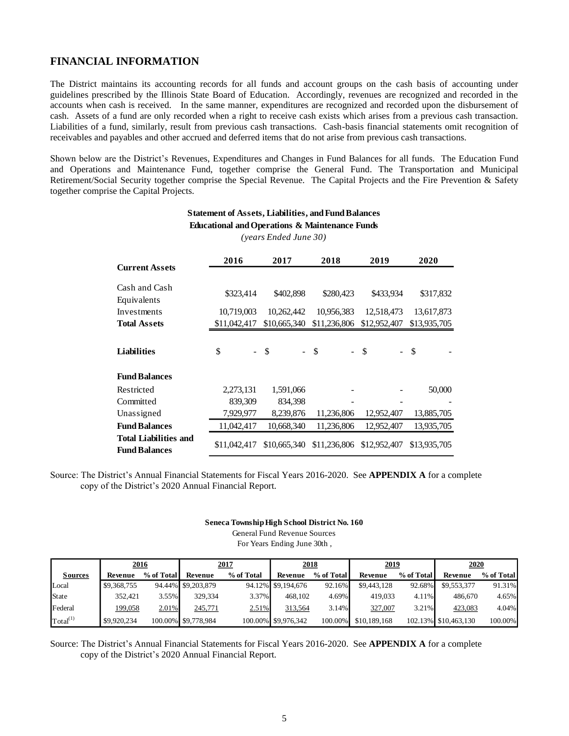## **FINANCIAL INFORMATION**

The District maintains its accounting records for all funds and account groups on the cash basis of accounting under guidelines prescribed by the Illinois State Board of Education. Accordingly, revenues are recognized and recorded in the accounts when cash is received. In the same manner, expenditures are recognized and recorded upon the disbursement of cash. Assets of a fund are only recorded when a right to receive cash exists which arises from a previous cash transaction. Liabilities of a fund, similarly, result from previous cash transactions. Cash-basis financial statements omit recognition of receivables and payables and other accrued and deferred items that do not arise from previous cash transactions.

Shown below are the District's Revenues, Expenditures and Changes in Fund Balances for all funds. The Education Fund and Operations and Maintenance Fund, together comprise the General Fund. The Transportation and Municipal Retirement/Social Security together comprise the Special Revenue. The Capital Projects and the Fire Prevention & Safety together comprise the Capital Projects.

| <b>Current Assets</b>                                | 2016         | 2017         | 2018         | 2019         | 2020          |
|------------------------------------------------------|--------------|--------------|--------------|--------------|---------------|
|                                                      |              |              |              |              |               |
| Cash and Cash<br>Equivalents                         | \$323,414    | \$402,898    | \$280,423    | \$433,934    | \$317,832     |
| Investments                                          | 10,719,003   | 10,262,442   | 10,956,383   | 12,518,473   | 13,617,873    |
| <b>Total Assets</b>                                  | \$11,042,417 | \$10,665,340 | \$11,236,806 | \$12,952,407 | \$13,935,705  |
|                                                      |              |              |              |              |               |
| Liabilities                                          | \$           | $-$ \$       | - \$         | $-$ \$       | $\mathcal{S}$ |
| <b>Fund Balances</b>                                 |              |              |              |              |               |
| Restricted                                           | 2,273,131    | 1,591,066    |              |              | 50,000        |
| Committed                                            | 839,309      | 834,398      |              |              |               |
| Unassigned                                           | 7,929,977    | 8,239,876    | 11,236,806   | 12,952,407   | 13,885,705    |
| <b>Fund Balances</b>                                 | 11,042,417   | 10,668,340   | 11,236,806   | 12,952,407   | 13,935,705    |
| <b>Total Liabilities and</b><br><b>Fund Balances</b> | \$11,042,417 | \$10,665,340 | \$11,236,806 | \$12,952,407 | \$13,935,705  |

### **Statement of Assets, Liabilities, and Fund Balances Educational and Operations & Maintenance Funds**

*(years Ended June 30)*

Source: The District's Annual Financial Statements for Fiscal Years 2016-2020. See **APPENDIX A** for a complete copy of the District's 2020 Annual Financial Report.

#### **Seneca Township High School District No. 160**

General Fund Revenue Sources For Years Ending June 30th ,

|                      | <u>2016</u> |            |                     | 2017       | 2018                |            | 2019         |            | 2020                 |            |  |
|----------------------|-------------|------------|---------------------|------------|---------------------|------------|--------------|------------|----------------------|------------|--|
| <b>Sources</b>       | Revenue     | % of Total | Revenue             | % of Total | Revenue             | % of Total | Revenue      | % of Total | Revenue              | % of Total |  |
| Local                | \$9,368,755 |            | 94.44% \$9,203,879  |            | 94.12% \$9,194,676  | 92.16%     | \$9,443,128  | 92.68%     | \$9,553,377          | 91.31%     |  |
| State                | 352.421     | 3.55%      | 329.334             | 3.37%      | 468.102             | 4.69%      | 419.033      | 4.11%      | 486,670              | 4.65%      |  |
| Federal              | 199,058     | 2.01%      | 245,771             | 2.51%      | 313,564             | 3.14%      | 327,007      | $3.21\%$   | 423,083              | 4.04%      |  |
| Total <sup>(1)</sup> | \$9,920,234 |            | 100.00% \$9,778,984 |            | 100.00% \$9,976,342 | 100.00%    | \$10,189,168 |            | 102.13% \$10,463,130 | 100.00%    |  |

Source: The District's Annual Financial Statements for Fiscal Years 2016-2020. See **APPENDIX A** for a complete copy of the District's 2020 Annual Financial Report.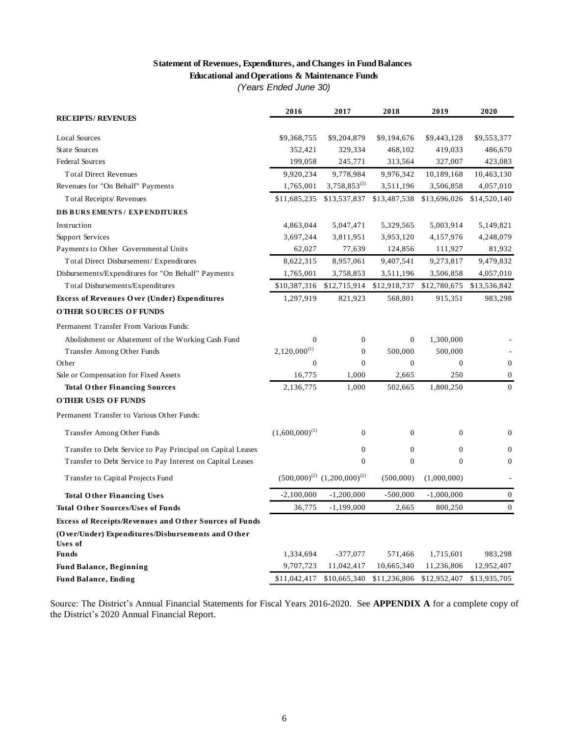# **Statement of Revenues, Expenditures, and Changes in Fund Balances**

**Educational and Operations & Maintenance Funds**

*(Years Ended June 30)*

|                                                                     | 2016                | 2017                                  | 2018         | 2019         | 2020             |
|---------------------------------------------------------------------|---------------------|---------------------------------------|--------------|--------------|------------------|
| <b>RECEIPTS/REVENUES</b>                                            |                     |                                       |              |              |                  |
| <b>Local Sources</b>                                                | \$9,368,755         | \$9,204,879                           | \$9,194,676  | \$9,443,128  | \$9,553,377      |
| <b>State Sources</b>                                                | 352,421             | 329,334                               | 468,102      | 419,033      | 486,670          |
| <b>Federal Sources</b>                                              | 199,058             | 245,771                               | 313,564      | 327,007      | 423,083          |
| <b>Total Direct Revenues</b>                                        | 9,920,234           | 9,778,984                             | 9,976,342    | 10,189,168   | 10,463,130       |
| Revenues for "On Behalf" Payments                                   | 1,765,001           | $3,758,853^{(3)}$                     | 3,511,196    | 3,506,858    | 4,057,010        |
| Total Receipts/Revenues                                             | \$11,685,235        | \$13,537,837                          | \$13,487,538 | \$13,696,026 | \$14,520,140     |
| <b>DIS BURS EMENTS / EXPENDITURES</b>                               |                     |                                       |              |              |                  |
| Instruction                                                         | 4,863,044           | 5,047,471                             | 5,329,565    | 5,003,914    | 5,149,821        |
| Support Services                                                    | 3,697,244           | 3,811,951                             | 3,953,120    | 4,157,976    | 4,248,079        |
| Payments to Other Governmental Units                                | 62,027              | 77,639                                | 124,856      | 111,927      | 81,932           |
| Total Direct Disbursement/Expenditures                              | 8,622,315           | 8,957,061                             | 9,407,541    | 9,273,817    | 9,479,832        |
| Disbursements/Expenditures for "On Behalf" Payments                 | 1,765,001           | 3,758,853                             | 3,511,196    | 3,506,858    | 4,057,010        |
| Total Disbursements/Expenditures                                    | \$10,387,316        | \$12,715,914                          | \$12,918,737 | \$12,780,675 | \$13,536,842     |
| <b>Excess of Revenues Over (Under) Expenditures</b>                 | 1,297,919           | 821,923                               | 568,801      | 915,351      | 983,298          |
| <b>OTHER SOURCES OF FUNDS</b>                                       |                     |                                       |              |              |                  |
| Permanent Transfer From Various Funds:                              |                     |                                       |              |              |                  |
| Abolishment or Abatement of the Working Cash Fund                   | $\mathbf{0}$        | $\mathbf{0}$                          | $\mathbf{0}$ | 1,300,000    |                  |
| Transfer Among Other Funds                                          | $2,120,000^{(1)}$   | $\boldsymbol{0}$                      | 500,000      | 500,000      |                  |
| Other                                                               | $\boldsymbol{0}$    | $\mathbf{0}$                          | $\mathbf{0}$ | $\mathbf{0}$ | $\mathbf{0}$     |
| Sale or Compensation for Fixed Assets                               | 16,775              | 1,000                                 | 2.665        | 250          | 0                |
| <b>Total Other Financing Sources</b>                                | 2,136,775           | 1,000                                 | 502,665      | 1,800,250    | $\mathbf{0}$     |
| <b>OTHER USES OF FUNDS</b>                                          |                     |                                       |              |              |                  |
| Permanent Transfer to Various Other Funds:                          |                     |                                       |              |              |                  |
| Transfer Among Other Funds                                          | $(1,600,000)^{(1)}$ | $\mathbf{0}$                          | $\mathbf{0}$ | $\Omega$     | $\overline{0}$   |
| Transfer to Debt Service to Pay Principal on Capital Leases         |                     | $\mathbf{0}$                          | $\mathbf{0}$ | $\mathbf{0}$ | $\mathbf{0}$     |
| Transfer to Debt Service to Pay Interest on Capital Leases          |                     | $\Omega$                              | $\mathbf{0}$ | $\Omega$     | $\mathbf{0}$     |
| Transfer to Capital Projects Fund                                   |                     | $(500,000)^{(2)}$ $(1,200,000)^{(2)}$ | (500,000)    | (1,000,000)  |                  |
| <b>Total Other Financing Uses</b>                                   | $-2,100,000$        | $-1,200,000$                          | $-500,000$   | $-1,000,000$ | $\boldsymbol{0}$ |
| <b>Total Other Sources/Uses of Funds</b>                            | 36,775              | $-1,199,000$                          | 2,665        | 800,250      | $\overline{0}$   |
| <b>Excess of Receipts/Revenues and Other Sources of Funds</b>       |                     |                                       |              |              |                  |
| (Over/Under) Expenditures/Disbursements and Other<br><b>Uses</b> of |                     |                                       |              |              |                  |
| <b>Funds</b>                                                        | 1,334,694           | $-377,077$                            | 571,466      | 1,715,601    | 983,298          |
| <b>Fund Balance, Beginning</b>                                      | 9,707,723           | 11,042,417                            | 10,665,340   | 11,236,806   | 12,952,407       |
| <b>Fund Balance, Ending</b>                                         | \$11,042,417        | \$10,665,340                          | \$11,236,806 | \$12,952,407 | \$13,935,705     |

Source: The District's Annual Financial Statements for Fiscal Years 2016-2020. See **APPENDIX A** for a complete copy of the District's 2020 Annual Financial Report.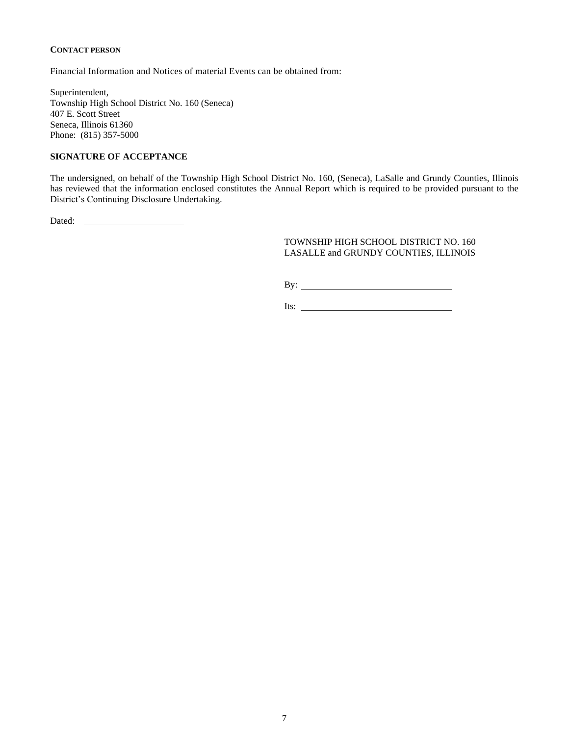#### **CONTACT PERSON**

Financial Information and Notices of material Events can be obtained from:

Superintendent, Township High School District No. 160 (Seneca) 407 E. Scott Street Seneca, Illinois 61360 Phone: (815) 357-5000

#### **SIGNATURE OF ACCEPTANCE**

The undersigned, on behalf of the Township High School District No. 160, (Seneca), LaSalle and Grundy Counties, Illinois has reviewed that the information enclosed constitutes the Annual Report which is required to be provided pursuant to the District's Continuing Disclosure Undertaking.

Dated:

#### TOWNSHIP HIGH SCHOOL DISTRICT NO. 160 LASALLE and GRUNDY COUNTIES, ILLINOIS

By:

Its: